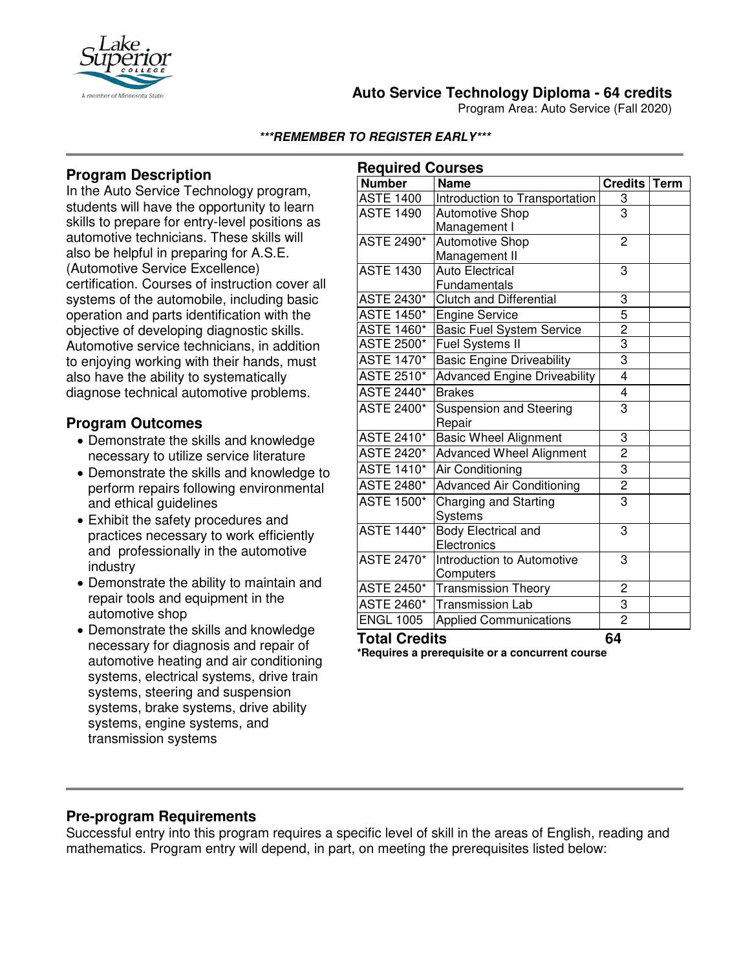

### **Auto Service Technology Diploma - 64 credits**

Program Area: Auto Service (Fall 2020)

**\*\*\*REMEMBER TO REGISTER EARLY\*\*\***

# **Program Description**

In the Auto Service Technology program, students will have the opportunity to learn skills to prepare for entry-level positions as automotive technicians. These skills will also be helpful in preparing for A.S.E. (Automotive Service Excellence) certification. Courses of instruction cover all systems of the automobile, including basic operation and parts identification with the objective of developing diagnostic skills. Automotive service technicians, in addition to enjoying working with their hands, must also have the ability to systematically diagnose technical automotive problems*.*

### **Program Outcomes**

- Demonstrate the skills and knowledge necessary to utilize service literature
- Demonstrate the skills and knowledge to perform repairs following environmental and ethical guidelines
- Exhibit the safety procedures and practices necessary to work efficiently and professionally in the automotive industry
- Demonstrate the ability to maintain and repair tools and equipment in the automotive shop
- Demonstrate the skills and knowledge necessary for diagnosis and repair of automotive heating and air conditioning systems, electrical systems, drive train systems, steering and suspension systems, brake systems, drive ability systems, engine systems, and transmission systems

| <b>Required Courses</b> |                                     |                         |             |
|-------------------------|-------------------------------------|-------------------------|-------------|
| <b>Number</b>           | <b>Name</b>                         | <b>Credits</b>          | <b>Term</b> |
| <b>ASTE 1400</b>        | Introduction to Transportation      | $\overline{3}$          |             |
| <b>ASTE 1490</b>        | <b>Automotive Shop</b>              | $\overline{3}$          |             |
|                         | Management I                        |                         |             |
| <b>ASTE 2490*</b>       | <b>Automotive Shop</b>              | $\overline{2}$          |             |
|                         | Management II                       |                         |             |
| <b>ASTE 1430</b>        | <b>Auto Electrical</b>              | 3                       |             |
|                         | Fundamentals                        |                         |             |
| <b>ASTE 2430*</b>       | <b>Clutch and Differential</b>      | $\frac{3}{5}$           |             |
| <b>ASTE 1450*</b>       | <b>Engine Service</b>               |                         |             |
| <b>ASTE 1460*</b>       | <b>Basic Fuel System Service</b>    | $\overline{2}$          |             |
| <b>ASTE 2500*</b>       | Fuel Systems II                     | $\overline{3}$          |             |
| <b>ASTE 1470*</b>       | <b>Basic Engine Driveability</b>    | $\overline{3}$          |             |
| <b>ASTE 2510*</b>       | <b>Advanced Engine Driveability</b> | $\overline{\mathbf{4}}$ |             |
| <b>ASTE 2440*</b>       | <b>Brakes</b>                       | $\overline{4}$          |             |
| <b>ASTE 2400*</b>       | <b>Suspension and Steering</b>      | 3                       |             |
|                         | Repair                              |                         |             |
| <b>ASTE 2410*</b>       | <b>Basic Wheel Alignment</b>        | 3                       |             |
| <b>ASTE 2420*</b>       | <b>Advanced Wheel Alignment</b>     | $\overline{2}$          |             |
| <b>ASTE 1410*</b>       | Air Conditioning                    | $\overline{3}$          |             |
| <b>ASTE 2480*</b>       | <b>Advanced Air Conditioning</b>    | $\overline{2}$          |             |
| <b>ASTE 1500*</b>       | Charging and Starting               | $\overline{3}$          |             |
|                         | Systems                             |                         |             |
| <b>ASTE 1440*</b>       | Body Electrical and                 | 3                       |             |
|                         | Electronics                         |                         |             |
| <b>ASTE 2470*</b>       | Introduction to Automotive          | 3                       |             |
|                         | Computers                           |                         |             |
| <b>ASTE 2450*</b>       | <b>Transmission Theory</b>          | $\overline{c}$          |             |
| <b>ASTE 2460*</b>       | <b>Transmission Lab</b>             | $\overline{3}$          |             |
| <b>ENGL 1005</b>        | <b>Applied Communications</b>       | $\overline{2}$          |             |
| .                       |                                     |                         |             |

**Total Credits 64** 

**\*Requires a prerequisite or a concurrent course**

## **Pre-program Requirements**

Successful entry into this program requires a specific level of skill in the areas of English, reading and mathematics. Program entry will depend, in part, on meeting the prerequisites listed below: